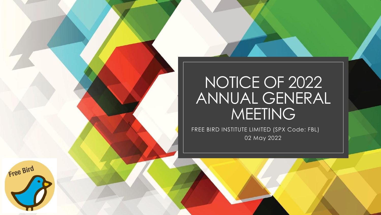# NOTICE OF 2022 ANNUAL GENERAL MEETING

FREE BIRD INSTITUTE LIMITED (SPX Code: FBL) 02 May 2022

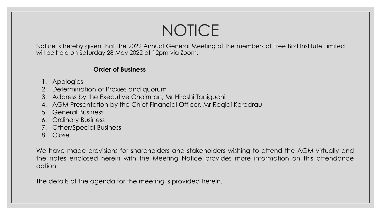# NOTICE

Notice is hereby given that the 2022 Annual General Meeting of the members of Free Bird Institute Limited will be held on Saturday 28 May 2022 at 12pm via Zoom.

# **Order of Business**

- 1. Apologies
- 2. Determination of Proxies and quorum
- 3. Address by the Executive Chairman, Mr Hiroshi Taniguchi
- 4. AGM Presentation by the Chief Financial Officer, Mr Roqiqi Korodrau
- 5. General Business
- 6. Ordinary Business
- 7. Other/Special Business
- 8. Close

We have made provisions for shareholders and stakeholders wishing to attend the AGM virtually and the notes enclosed herein with the Meeting Notice provides more information on this attendance option.

The details of the agenda for the meeting is provided herein.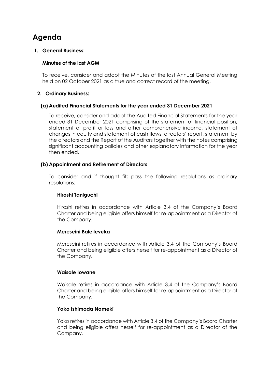# **Agenda**

#### **1. General Business:**

## **Minutes of the last AGM**

To receive, consider and adopt the Minutes of the last Annual General Meeting held on 02 October 2021 as a true and correct record of the meeting.

#### **2. Ordinary Business:**

#### **(a) Audited Financial Statements for the year ended 31 December 2021**

To receive, consider and adopt the Audited Financial Statements for the year ended 31 December 2021 comprising of the statement of financial position, statement of profit or loss and other comprehensive income, statement of changes in equity and statement of cash flows, directors' report, statement by the directors and the Report of the Auditors together with the notes comprising significant accounting policies and other explanatory information for the year then ended.

#### **(b) Appointment and Retirement of Directors**

To consider and if thought fit; pass the following resolutions as ordinary resolutions:

#### **Hiroshi Taniguchi**

Hiroshi retires in accordance with Article 3.4 of the Company's Board Charter and being eligible offers himself for re-appointment as a Director of the Company.

#### **Mereseini Baleilevuka**

Mereseini retires in accordance with Article 3.4 of the Company's Board Charter and being eligible offers herself for re-appointment as a Director of the Company.

#### **Waisale Iowane**

Waisale retires in accordance with Article 3.4 of the Company's Board Charter and being eligible offers himself for re-appointment as a Director of the Company.

## **Yoko Ishimoda Nameki**

Yoko retires in accordance with Article 3.4 of the Company's Board Charter and being eligible offers herself for re-appointment as a Director of the Company.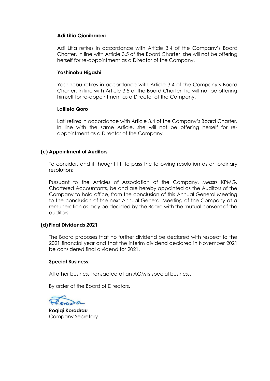#### **Adi Litia Qionibaravi**

Adi Litia retires in accordance with Article 3.4 of the Company's Board Charter. In line with Article 3.5 of the Board Charter, she will not be offering herself for re-appointment as a Director of the Company.

#### **Yoshinobu Higashi**

Yoshinobu retires in accordance with Article 3.4 of the Company's Board Charter. In line with Article 3.5 of the Board Charter, he will not be offering himself for re-appointment as a Director of the Company.

#### **Latileta Qoro**

Lati retires in accordance with Article 3.4 of the Company's Board Charter. In line with the same Article, she will not be offering herself for reappointment as a Director of the Company.

## **(c) Appointment of Auditors**

To consider, and if thought fit, to pass the following resolution as an ordinary resolution:

Pursuant to the Articles of Association of the Company, Messrs KPMG, Chartered Accountants, be and are hereby appointed as the Auditors of the Company to hold office, from the conclusion of this Annual General Meeting to the conclusion of the next Annual General Meeting of the Company at a remuneration as may be decided by the Board with the mutual consent of the auditors.

## **(d) Final Dividends 2021**

The Board proposes that no further dividend be declared with respect to the 2021 financial year and that the interim dividend declared in November 2021 be considered final dividend for 2021.

#### **Special Business:**

All other business transacted at an AGM is special business.

By order of the Board of Directors.

**Roqiqi Korodrau** Company Secretary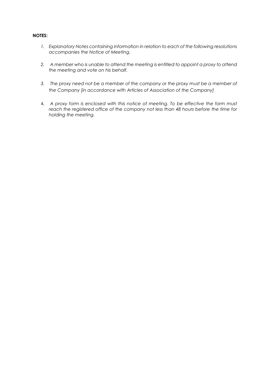#### **NOTES:**

- *1. Explanatory Notes containing information in relation to each of the following resolutions accompanies the Notice of Meeting.*
- *2. A member who is unable to attend the meeting is entitled to appoint a proxy to attend the meeting and vote on his behalf.*
- *3. The proxy need not be a member of the company or the proxy must be a member of the Company [in accordance with Articles of Association of the Company]*
- 4. *A proxy form is enclosed with this notice of meeting. To be effective the form must reach the registered office of the company not less than 48 hours before the time for holding the meeting.*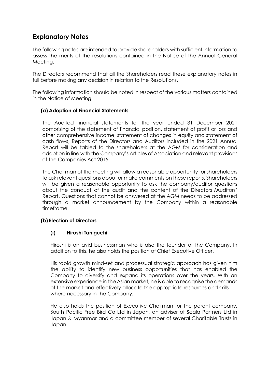# **Explanatory Notes**

The following notes are intended to provide shareholders with sufficient information to assess the merits of the resolutions contained in the Notice of the Annual General Meeting.

The Directors recommend that all the Shareholders read these explanatory notes in full before making any decision in relation to the Resolutions.

The following information should be noted in respect of the various matters contained in the Notice of Meeting.

## **(a) Adoption of Financial Statements**

The Audited financial statements for the year ended 31 December 2021 comprising of the statement of financial position, statement of profit or loss and other comprehensive income, statement of changes in equity and statement of cash flows, Reports of the Directors and Auditors included in the 2021 Annual Report will be tabled to the shareholders at the AGM for consideration and adoption in line with the Company's Articles of Association and relevant provisions of the Companies Act 2015.

The Chairman of the meeting will allow a reasonable opportunity for shareholders to ask relevant questions about or make comments on these reports. Shareholders will be given a reasonable opportunity to ask the company/auditor questions about the conduct of the audit and the content of the Directors'/Auditors' Report. Questions that cannot be answered at the AGM needs to be addressed through a market announcement by the Company within a reasonable timeframe.

## **(b) Election of Directors**

## **(i) Hiroshi Taniguchi**

Hiroshi is an avid businessman who is also the founder of the Company. In addition to this, he also holds the position of Chief Executive Officer.

His rapid growth mind-set and processual strategic approach has given him the ability to identify new business opportunities that has enabled the Company to diversify and expand its operations over the years. With an extensive experience in the Asian market, he is able to recognise the demands of the market and effectively allocate the appropriate resources and skills where necessary in the Company.

He also holds the position of Executive Chairman for the parent company, South Pacific Free Bird Co Ltd in Japan, an adviser of Scala Partners Ltd in Japan & Myanmar and a committee member of several Charitable Trusts in Japan.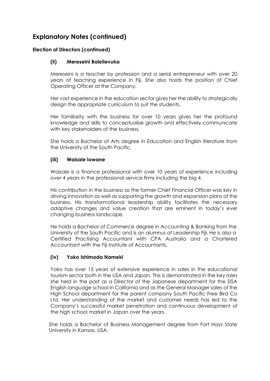# **Explanatory Notes (continued)**

## **Election of Directors (continued)**

## **(ii) Mereseini Baleilevuka**

Mereseini is a teacher by profession and a serial entrepreneur with over 20 years of teaching experience in Fiji. She also holds the position of Chief Operating Officer at the Company.

Her vast experience in the education sector gives her the ability to strategically design the appropriate curriculum to suit the students.

Her familiarity with the business for over 10 years gives her the profound knowledge and skills to conceptualise growth and effectively communicate with key stakeholders of the business.

She holds a Bachelor of Arts degree in Education and English literature from the University of the South Pacific.

## **(iii) Waisale Iowane**

Waisale is a finance professional with over 10 years of experience including over 4 years in the professional service firms including the big 4.

His contribution in the business as the former Chief Financial Officer was key in driving innovation as well as supporting the growth and expansion plans of the business. His transformational leadership ability facilitates the necessary adaptive changes and value creation that are eminent in today's ever changing business landscape.

He holds a Bachelor of Commerce degree in Accounting & Banking from the University of the South Pacific and is an alumnus of Leadership Fiji. He is also a Certified Practising Accountant with CPA Australia and a Chartered Accountant with the Fiji Institute of Accountants.

## **(iv) Yoko Ishimoda Nameki**

Yoko has over 15 years of extensive experience in sales in the educational tourism sector both in the USA and Japan. This is demonstrated in the key roles she held in the past as a Director of the Japanese department for the SISA English language school in California and as the General Manager sales of the High School department for the parent company South Pacific Free Bird Co Ltd. Her understanding of the market and customer needs has led to the Company's successful market penetration and continuous development of the high school market in Japan over the years.

She holds a Bachelor of Business Management degree from Fort Hays State University in Kansas, USA.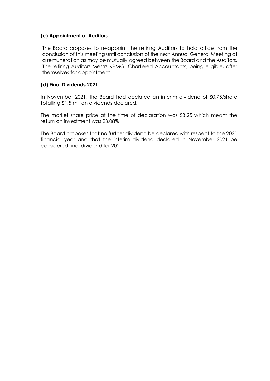## **(c) Appointment of Auditors**

The Board proposes to re-appoint the retiring Auditors to hold office from the conclusion of this meeting until conclusion of the next Annual General Meeting at a remuneration as may be mutually agreed between the Board and the Auditors. The retiring Auditors Messrs KPMG, Chartered Accountants, being eligible, offer themselves for appointment.

## **(.d) Final Dividends 2021**

In November 2021, the Board had declared an interim dividend of \$0.75/share totalling \$1.5 million dividends declared.

The market share price at the time of declaration was \$3.25 which meant the return on investment was 23.08%

The Board proposes that no further dividend be declared with respect to the 2021 financial year and that the interim dividend declared in November 2021 be considered final dividend for 2021.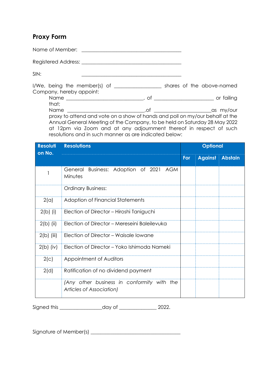## **Proxy Form**

Name of Member: \_\_\_\_\_\_\_\_\_\_\_\_\_\_\_\_\_\_\_\_\_\_\_\_\_\_\_\_\_\_\_\_\_\_\_\_\_\_\_\_

Registered Address: **Example 2018** 

SIN: \_\_\_\_\_\_\_\_\_\_\_\_\_\_\_\_\_\_\_\_\_\_\_\_\_\_\_\_\_\_\_\_\_\_\_\_\_\_\_\_

I/We, being the member(s) of \_\_\_\_\_\_\_\_\_\_\_\_\_\_\_\_\_\_\_ shares of the above-named Company, hereby appoint: Name \_\_\_\_\_\_\_\_\_\_\_\_\_\_\_\_\_\_\_\_\_\_\_\_\_\_\_\_\_\_\_, of \_\_\_\_\_\_\_\_\_\_\_\_\_\_\_\_\_\_\_\_\_\_\_\_ or failing that; Name and the set of the set of the set of the set of the set of the set of the set of the set of the set of the set of the set of the set of the set of the set of the set of the set of the set of the set of the set of the proxy to attend and vote on a show of hands and poll on my/our behalf at the Annual General Meeting of the Company, to be held on Saturday 28 May 2022 at 12pm via Zoom and at any adjournment thereof in respect of such resolutions and in such manner as are indicated below:

| <b>Resoluti</b> | <b>Resolutions</b>                                                     | <b>Optional</b> |                |         |
|-----------------|------------------------------------------------------------------------|-----------------|----------------|---------|
| on No.          |                                                                        | For             | <b>Against</b> | Abstain |
|                 | Business: Adoption of 2021 AGM<br>General<br>Minutes                   |                 |                |         |
|                 | <b>Ordinary Business:</b>                                              |                 |                |         |
| 2(a)            | Adoption of Financial Statements                                       |                 |                |         |
| $2(b)$ (i)      | Election of Director - Hiroshi Taniguchi                               |                 |                |         |
| $2(b)$ (ii)     | Election of Director - Mereseini Baleilevuka                           |                 |                |         |
| $2(b)$ (iii)    | Election of Director - Waisale Iowane                                  |                 |                |         |
| $2(b)$ (iv)     | Election of Director - Yoko Ishimoda Nameki                            |                 |                |         |
| 2(c)            | Appointment of Auditors                                                |                 |                |         |
| 2(d)            | Ratification of no dividend payment                                    |                 |                |         |
|                 | (Any other business in conformity with the<br>Articles of Association) |                 |                |         |

Signed this \_\_\_\_\_\_\_\_\_\_\_\_\_\_\_\_\_day of \_\_\_\_\_\_\_\_\_\_\_\_\_\_\_ 2022.

Signature of Member(s) \_\_\_\_\_\_\_\_\_\_\_\_\_\_\_\_\_\_\_\_\_\_\_\_\_\_\_\_\_\_\_\_\_\_\_\_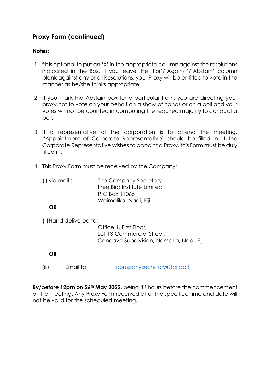# **Proxy Form (continued)**

## **Notes:**

- 1. \*It is optional to put an 'X' in the appropriate column against the resolutions indicated in the Box. If you leave the 'For'/'Against'/'Abstain' column blank against any or all Resolutions, your Proxy will be entitled to vote in the manner as he/she thinks appropriate.
- 2. If you mark the Abstain box for a particular Item, you are directing your proxy not to vote on your behalf on a show of hands or on a poll and your votes will not be counted in computing the required majority to conduct a poll.
- 3. If a representative of the corporation is to attend the meeting, "Appointment of Corporate Representative" should be filled in. If the Corporate Representative wishes to appoint a Proxy, this Form must be duly filled in.
- 4. This Proxy Form must be received by the Company:
	- (i) via mail : The Company Secretary Free Bird Institute Limited P.O Box 11065 Waimalika, Nadi, Fiji

## **OR**

(ii)Hand delivered to:

Office 1, First Floor, Lot 13 Commercial Street, Concave Subdivision, Namaka, Nadi, Fiji

## **OR**

(iii) Email to: [companysecretary@fbi.ac.fj](mailto:companysecretary@fbi.ac.fj)

**By/before 12pm on 26th May 2022**, being 48 hours before the commencement of the meeting. Any Proxy Form received after the specified time and date will not be valid for the scheduled meeting.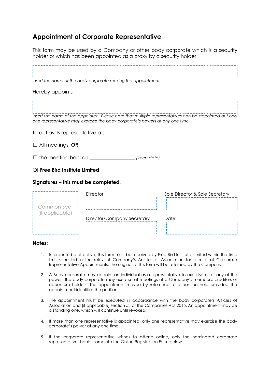# **Appointment of Corporate Representative**

This form may be used by a Company or other body corporate which is a security holder or which has been appointed as a proxy by a security holder.

|                                      | Insert the name of the body corporate making the appointment.                |                                                                                                       |
|--------------------------------------|------------------------------------------------------------------------------|-------------------------------------------------------------------------------------------------------|
| Hereby appoints                      |                                                                              |                                                                                                       |
|                                      | one representative may exercise the body corporate's powers at any one time. | Insert the name of the appointee. Please note that multiple representatives can be appointed but only |
| to act as its representative at:     |                                                                              |                                                                                                       |
| $\Box$ All meetings: OR              |                                                                              |                                                                                                       |
| $\Box$ the meeting held on $\_\_$    | (insert date)                                                                |                                                                                                       |
| Of Free Bird Institute Limited.      |                                                                              |                                                                                                       |
| Signatures – this must be completed. |                                                                              |                                                                                                       |
|                                      | <b>Director</b>                                                              | Sole Director & Sole Secretary                                                                        |
| Common Seal                          |                                                                              |                                                                                                       |
| (if applicable)                      | Director/Company Secretary                                                   | Date                                                                                                  |

#### **Notes:**

- 1. In order to be effective, this form must be received by Free Bird Institute Limited within the time limit specified in the relevant Company's Articles of Association for receipt of Corporate Representative Appointments. The original of this form will be retained by the Company.
- 2. A Body corporate may appoint an individual as a representative to exercise all or any of the powers the body corporate may exercise at meetings of a Company's members, creditors or debenture holders. The appointment maybe by reference to a position held provided the appointment identifies the position.
- 3. The appointment must be executed in accordance with the body corporate's Articles of Association and (if applicable) section 53 of the Companies Act 2015. An appointment may be a standing one, which will continue until revoked.
- 4. If more than one representative is appointed, only one representative may exercise the body corporate's power at any one time.
- 5. If the corporate representative wishes to attend online, only the nominated corporate representative should complete the Online Registration Form below.